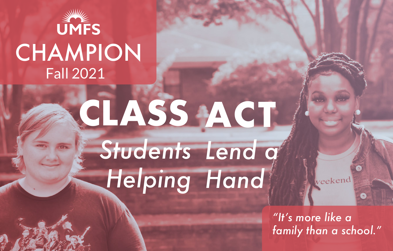

## Fall 2021 **CHAMPION**

## **CLASS ACT** *Students* Lend  $q^{\ell}$ *Helping Hand*

*"It's more like a family than a school."* 

veekend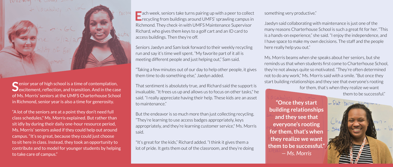**S**enior year of high school is a time of contemplation,  $\bigcup$  excitement, reflection, and transition. And in the case of Ms. Morris' seniors at the UMFS Charterhouse School in Richmond, senior year is also a time for generosity.

FOILO WIM

"A lot of the seniors are at a point they don't need full class schedules," Ms. Morris explained. But rather than sit idly by during their daily one-hour resource period, Ms. Morris' seniors asked if they could help out around campus. "It's so great, because they could just choose to sit here in class. Instead, they took an opportunity to contribute and to model for younger students by helping to take care of campus."

**E**ach week, seniors take turns pairing up with a peer to collect recycling from buildings around UMFS' sprawling campus in Richmond. They check-in with UMFS Maintenance Supervisor Richard, who gives them keys to a golf cart and an ID card to access buildings. Then they're off.

Seniors Jaedyn and Sam look forward to their weekly recycling run and say it's time well spent. "My favorite part of it all is meeting different people and just helping out," Sam said.

"Taking a few minutes out of our day to help other people, it gives them time to do something else," Jaedyn added.

That sentiment is absolutely true, and Richard said the support is invaluable. "It frees us up and allows us to focus on other tasks," he said. "I really appreciate having their help. These kids are an asset to maintenance."

But the endeavor is so much more than just collecting recycling. "They're learning to use access badges appropriately, keys appropriately, and they're learning customer service," Ms. Morris said.

"It's great for the kids," Richard added. "I think it gives them a lot of pride. It gets them out of the classroom, and they're doing something very productive."

Jaedyn said collaborating with maintenance is just one of the many reasons Charterhouse School is such a great fit for her. "This is a hands-on experience," she said. "I enjoy the independence, and I have space to make my own decisions. The staff and the people here really help you out."

Ms. Morris beams when she speaks about her seniors, but she reminds us that when students first come to Charterhouse School, they're not always quite so motivated. "They're often determined not to do any work," Ms. Morris said with a smile. "But once they start building relationships and they see that everyone's rooting for them, that's when they realize we want

them to be successful."

**"Once they start**  - Flat-borne package **building relationships and they see that everyone's rooting for them, that's when they realize we want them to be successful."**  *— Ms. Morris*